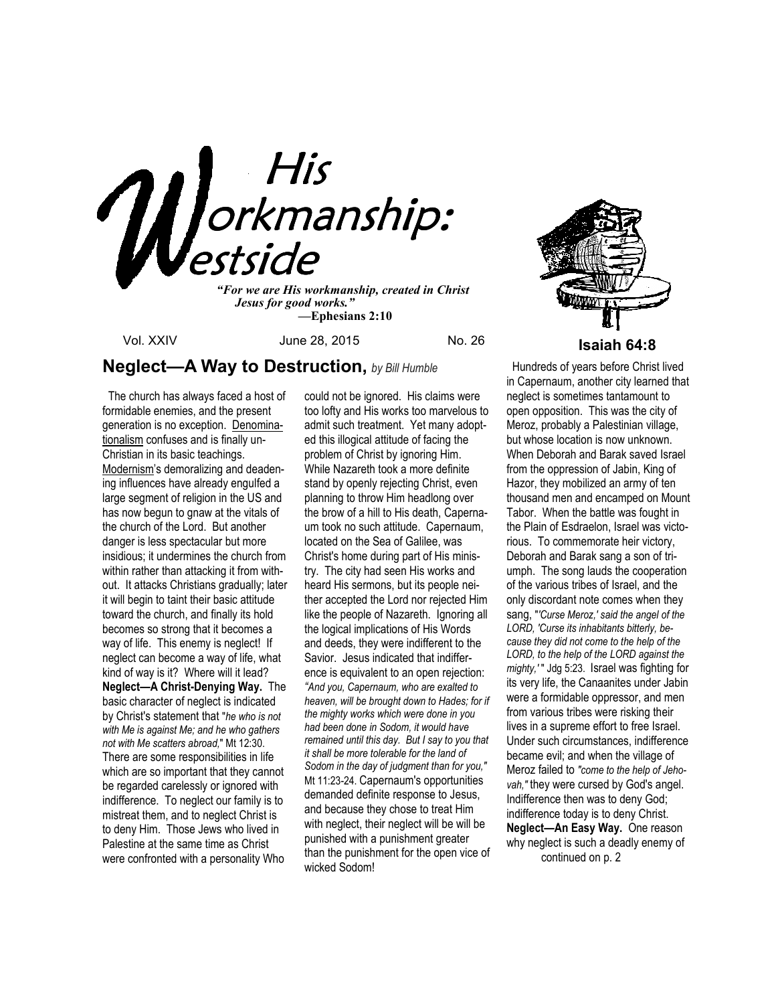

 *Jesus for good works." —***Ephesians 2:10**

Vol. XXIV June 28, 2015 No. 26 **Isaiah 64:8** 

# **Neglect—A Way to Destruction,** *by Bill Humble*

 The church has always faced a host of formidable enemies, and the present generation is no exception. Denominationalism confuses and is finally un-Christian in its basic teachings. Modernism's demoralizing and deadening influences have already engulfed a large segment of religion in the US and has now begun to gnaw at the vitals of the church of the Lord. But another danger is less spectacular but more insidious; it undermines the church from within rather than attacking it from without. It attacks Christians gradually; later it will begin to taint their basic attitude toward the church, and finally its hold becomes so strong that it becomes a way of life. This enemy is neglect! If neglect can become a way of life, what kind of way is it? Where will it lead? **Neglect—A Christ-Denying Way.** The basic character of neglect is indicated by Christ's statement that "*he who is not with Me is against Me; and he who gathers not with Me scatters abroad,*" Mt 12:30. There are some responsibilities in life which are so important that they cannot be regarded carelessly or ignored with indifference. To neglect our family is to mistreat them, and to neglect Christ is to deny Him. Those Jews who lived in Palestine at the same time as Christ were confronted with a personality Who

could not be ignored. His claims were too lofty and His works too marvelous to admit such treatment. Yet many adopted this illogical attitude of facing the problem of Christ by ignoring Him. While Nazareth took a more definite stand by openly rejecting Christ, even planning to throw Him headlong over the brow of a hill to His death, Capernaum took no such attitude. Capernaum, located on the Sea of Galilee, was Christ's home during part of His ministry. The city had seen His works and heard His sermons, but its people neither accepted the Lord nor rejected Him like the people of Nazareth. Ignoring all the logical implications of His Words and deeds, they were indifferent to the Savior. Jesus indicated that indifference is equivalent to an open rejection: *"And you, Capernaum, who are exalted to heaven, will be brought down to Hades; for if the mighty works which were done in you had been done in Sodom, it would have remained until this day. But I say to you that it shall be more tolerable for the land of Sodom in the day of judgment than for you,"* Mt 11:23-24. Capernaum's opportunities demanded definite response to Jesus, and because they chose to treat Him with neglect, their neglect will be will be punished with a punishment greater than the punishment for the open vice of wicked Sodom!



 Hundreds of years before Christ lived in Capernaum, another city learned that neglect is sometimes tantamount to open opposition. This was the city of Meroz, probably a Palestinian village, but whose location is now unknown. When Deborah and Barak saved Israel from the oppression of Jabin, King of Hazor, they mobilized an army of ten thousand men and encamped on Mount Tabor. When the battle was fought in the Plain of Esdraelon, Israel was victorious. To commemorate heir victory, Deborah and Barak sang a son of triumph. The song lauds the cooperation of the various tribes of Israel, and the only discordant note comes when they sang, "*'Curse Meroz,' said the angel of the LORD, 'Curse its inhabitants bitterly, because they did not come to the help of the LORD, to the help of the LORD against the mighty,'* " Jdg 5:23. Israel was fighting for its very life, the Canaanites under Jabin were a formidable oppressor, and men from various tribes were risking their lives in a supreme effort to free Israel. Under such circumstances, indifference became evil; and when the village of Meroz failed to *"come to the help of Jehovah,"* they were cursed by God's angel. Indifference then was to deny God; indifference today is to deny Christ. **Neglect—An Easy Way.** One reason why neglect is such a deadly enemy of continued on p. 2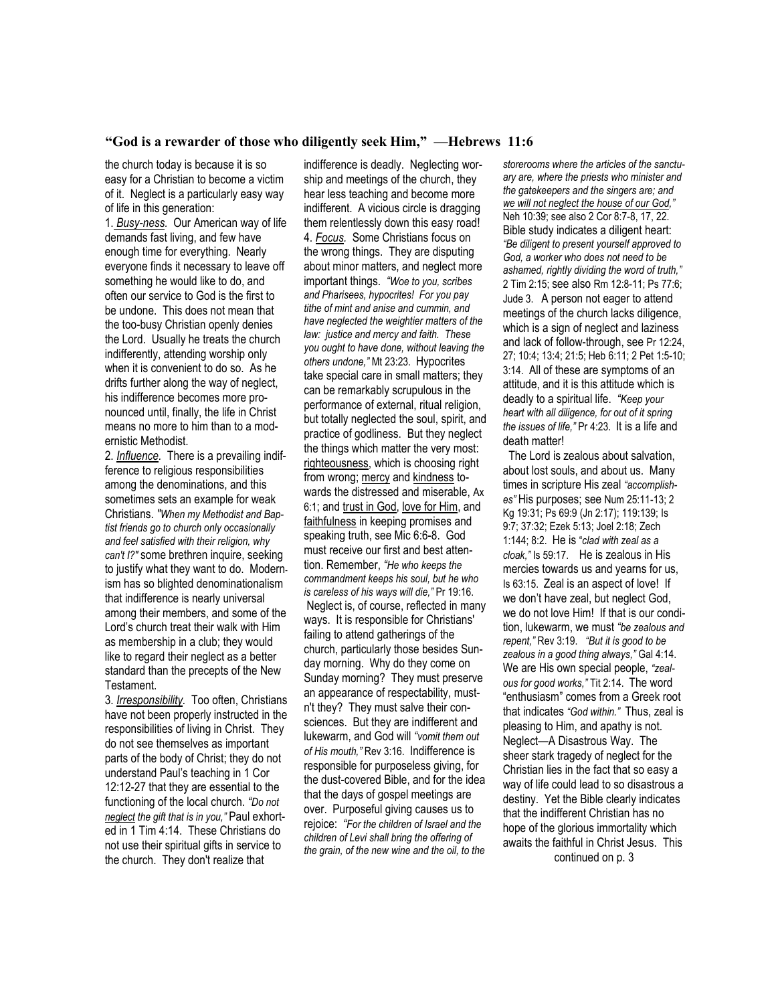### **"God is a rewarder of those who diligently seek Him," —Hebrews 11:6**

the church today is because it is so easy for a Christian to become a victim of it. Neglect is a particularly easy way of life in this generation:

1. *Busy-ness.* Our American way of life demands fast living, and few have enough time for everything. Nearly everyone finds it necessary to leave off something he would like to do, and often our service to God is the first to be undone. This does not mean that the too-busy Christian openly denies the Lord. Usually he treats the church indifferently, attending worship only when it is convenient to do so. As he drifts further along the way of neglect, his indifference becomes more pronounced until, finally, the life in Christ means no more to him than to a modernistic Methodist.

2. *Influence.* There is a prevailing indifference to religious responsibilities among the denominations, and this sometimes sets an example for weak Christians. *"When my Methodist and Baptist friends go to church only occasionally and feel satisfied with their religion, why can't I?"* some brethren inquire, seeking to justify what they want to do. Modernism has so blighted denominationalism that indifference is nearly universal among their members, and some of the Lord's church treat their walk with Him as membership in a club; they would like to regard their neglect as a better standard than the precepts of the New Testament.

3. *Irresponsibility.* Too often, Christians have not been properly instructed in the responsibilities of living in Christ. They do not see themselves as important parts of the body of Christ; they do not understand Paul's teaching in 1 Cor 12:12-27 that they are essential to the functioning of the local church. *"Do not neglect the gift that is in you,"* Paul exhorted in 1 Tim 4:14. These Christians do not use their spiritual gifts in service to the church. They don't realize that

indifference is deadly. Neglecting worship and meetings of the church, they hear less teaching and become more indifferent. A vicious circle is dragging them relentlessly down this easy road! 4. *Focus.* Some Christians focus on the wrong things. They are disputing about minor matters, and neglect more important things. *"Woe to you, scribes and Pharisees, hypocrites! For you pay tithe of mint and anise and cummin, and have neglected the weightier matters of the law: justice and mercy and faith. These you ought to have done, without leaving the others undone,"* Mt 23:23. Hypocrites take special care in small matters; they can be remarkably scrupulous in the performance of external, ritual religion, but totally neglected the soul, spirit, and practice of godliness. But they neglect the things which matter the very most: righteousness, which is choosing right from wrong; mercy and kindness towards the distressed and miserable, Ax 6:1; and trust in God, love for Him, and faithfulness in keeping promises and speaking truth, see Mic 6:6-8. God must receive our first and best attention. Remember, *"He who keeps the commandment keeps his soul, but he who is careless of his ways will die,"* Pr 19:16. Neglect is, of course, reflected in many ways. It is responsible for Christians' failing to attend gatherings of the church, particularly those besides Sunday morning. Why do they come on Sunday morning? They must preserve an appearance of respectability, mustn't they? They must salve their consciences. But they are indifferent and lukewarm, and God will *"vomit them out of His mouth,"* Rev 3:16. Indifference is responsible for purposeless giving, for the dust-covered Bible, and for the idea that the days of gospel meetings are over. Purposeful giving causes us to rejoice: *"For the children of Israel and the children of Levi shall bring the offering of the grain, of the new wine and the oil, to the* 

*storerooms where the articles of the sanctuary are, where the priests who minister and the gatekeepers and the singers are; and we will not neglect the house of our God,"*  Neh 10:39; see also 2 Cor 8:7-8, 17, 22. Bible study indicates a diligent heart: *"Be diligent to present yourself approved to God, a worker who does not need to be ashamed, rightly dividing the word of truth,"*  2 Tim 2:15; see also Rm 12:8-11; Ps 77:6; Jude 3. A person not eager to attend meetings of the church lacks diligence, which is a sign of neglect and laziness and lack of follow-through, see Pr 12:24, 27; 10:4; 13:4; 21:5; Heb 6:11; 2 Pet 1:5-10; 3:14. All of these are symptoms of an attitude, and it is this attitude which is deadly to a spiritual life. *"Keep your heart with all diligence, for out of it spring the issues of life,"* Pr 4:23. It is a life and death matter!

 The Lord is zealous about salvation, about lost souls, and about us. Many times in scripture His zeal *"accomplishes"* His purposes; see Num 25:11-13; 2 Kg 19:31; Ps 69:9 (Jn 2:17); 119:139; Is 9:7; 37:32; Ezek 5:13; Joel 2:18; Zech 1:144; 8:2. He is "*clad with zeal as a cloak,"* Is 59:17. He is zealous in His mercies towards us and yearns for us, Is 63:15. Zeal is an aspect of love! If we don't have zeal, but neglect God, we do not love Him! If that is our condition, lukewarm, we must *"be zealous and repent,"* Rev 3:19. *"But it is good to be zealous in a good thing always,"* Gal 4:14. We are His own special people, *"zealous for good works,"* Tit 2:14. The word "enthusiasm" comes from a Greek root that indicates *"God within."* Thus, zeal is pleasing to Him, and apathy is not. Neglect—A Disastrous Way. The sheer stark tragedy of neglect for the Christian lies in the fact that so easy a way of life could lead to so disastrous a destiny. Yet the Bible clearly indicates that the indifferent Christian has no hope of the glorious immortality which awaits the faithful in Christ Jesus. This continued on p. 3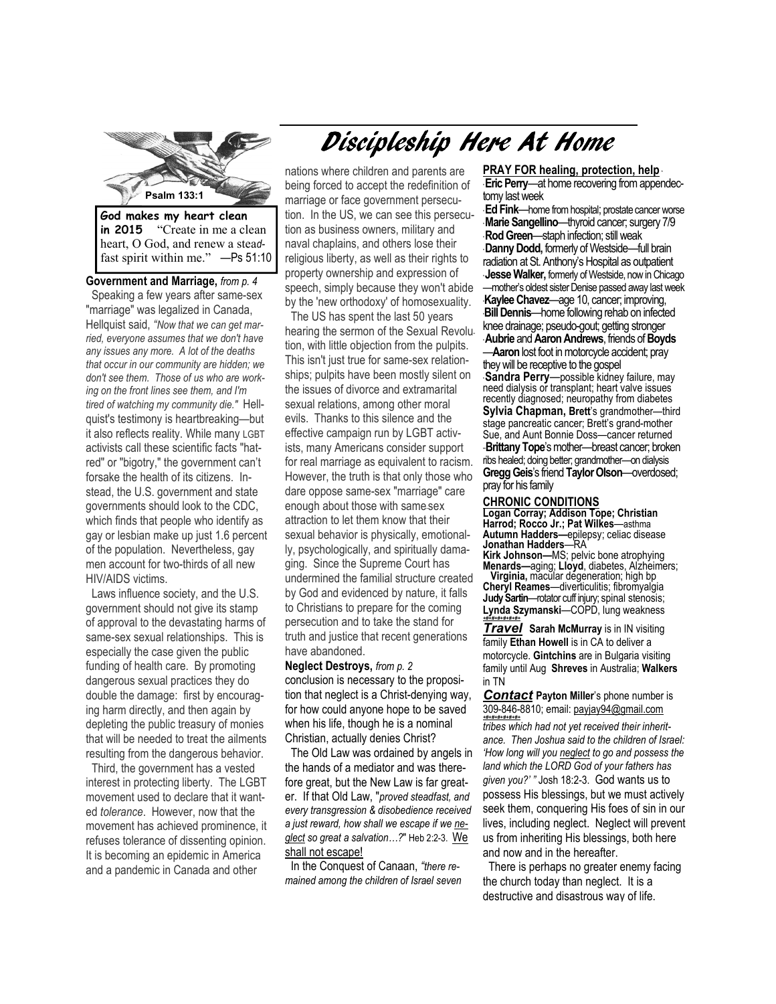

**in 2015** "Create in me a clean heart, O God, and renew a stea*d*fast spirit within me." —Ps 51:10

**Government and Marriage,** *from p. 4*  Speaking a few years after same-sex "marriage" was legalized in Canada, Hellquist said, *"Now that we can get married, everyone assumes that we don't have any issues any more. A lot of the deaths that occur in our community are hidden; we don't see them. Those of us who are working on the front lines see them, and I'm tired of watching my community die."* Hellquist's testimony is heartbreaking—but it also reflects reality. While many LGBT activists call these scientific facts "hatred" or "bigotry," the government can't forsake the health of its citizens. Instead, the U.S. government and state governments should look to the CDC, which finds that people who identify as gay or lesbian make up just 1.6 percent of the population. Nevertheless, gay men account for two-thirds of all new HIV/AIDS victims.

 Laws influence society, and the U.S. government should not give its stamp of approval to the devastating harms of same-sex sexual relationships. This is especially the case given the public funding of health care. By promoting dangerous sexual practices they do double the damage: first by encouraging harm directly, and then again by depleting the public treasury of monies that will be needed to treat the ailments resulting from the dangerous behavior.

Third, the government has a vested interest in protecting liberty. The LGBT movement used to declare that it wanted *tolerance*. However, now that the movement has achieved prominence, it refuses tolerance of dissenting opinion. It is becoming an epidemic in America and a pandemic in Canada and other

# nations where children and parents are being forced to accept the redefinition of marriage or face government persecution. In the US, we can see this persecution as business owners, military and naval chaplains, and others lose their religious liberty, as well as their rights to property ownership and expression of speech, simply because they won't abide by the 'new orthodoxy' of homosexuality.

Discipleship Here At Home

 The US has spent the last 50 years hearing the sermon of the Sexual Revolution, with little objection from the pulpits. This isn't just true for same-sex relationships; pulpits have been mostly silent on the issues of divorce and extramarital sexual relations, among other moral evils. Thanks to this silence and the effective campaign run by LGBT activists, many Americans consider support for real marriage as equivalent to racism. However, the truth is that only those who dare oppose same-sex "marriage" care enough about those with same-sex attraction to let them know that their sexual behavior is physically, emotionally, psychologically, and spiritually damaging. Since the Supreme Court has undermined the familial structure created by God and evidenced by nature, it falls to Christians to prepare for the coming persecution and to take the stand for truth and justice that recent generations have abandoned.

**Neglect Destroys,** *from p. 2*  conclusion is necessary to the proposition that neglect is a Christ-denying way, for how could anyone hope to be saved when his life, though he is a nominal Christian, actually denies Christ?

 The Old Law was ordained by angels in the hands of a mediator and was therefore great, but the New Law is far greater. If that Old Law, "*proved steadfast, and every transgression & disobedience received a just reward, how shall we escape if we neglect so great a salvation…?*" Heb 2:2-3. We shall not escape!

 In the Conquest of Canaan, *"there remained among the children of Israel seven* 

**PRAY FOR healing, protection, help** \* **Eric Perry—at home recovering from appendec**tomy last week

**Jesse Walker, formerly of Westside, now in Chicago** \* **Ed Fink**—home from hospital; prostate cancer worse \* **Marie Sangellino**—thyroid cancer; surgery 7/9 \* **Rod Green**—staph infection; still weak \* **Danny Dodd,** formerly of Westside—full brain radiation at St. Anthony's Hospital as outpatient —mother's oldest sister Denise passed away last week \***Kaylee Chavez**—age 10, cancer; improving, \***Bill Dennis**—home following rehab on infected knee drainage; pseudo-gout; getting stronger \* **Aubrie** and **Aaron Andrews**, friends of **Boyds**  —**Aaron** lost foot in motorcycle accident; pray they will be receptive to the gospel \* **Sandra Perry**—possible kidney failure, may need dialysis or transplant; heart valve issues recently diagnosed; neuropathy from diabetes **Sylvia Chapman, Brett**'s grandmother—third stage pancreatic cancer; Brett's grand-mother Sue, and Aunt Bonnie Doss—cancer returned -**Brittany Tope**'s mother--breast cancer; broken ribs healed; doing better; grandmother—on dialysis **Gregg Geis**'s friend **Taylor Olson**—overdosed; pray for his family

#### **CHRONIC CONDITIONS**

**Logan Corray; Addison Tope; Christian Harrod; Rocco Jr.; Pat Wilkes**—asthma **Autumn Hadders—**epilepsy; celiac disease **Jonathan Hadders**—RA

**Kirk Johnson—**MS; pelvic bone atrophying **Menards—**aging; **Lloyd**, diabetes, Alzheimers; **Virginia,** macular degeneration; high bp **Cheryl Reames**—diverticulitis; fibromyalgia **Judy Sartin**—rotator cuff injury; spinal stenosis;

**Lynda Szymanski**—COPD, lung weakness *+#+#+#+#+#+#+* **Travel** Sarah McMurray is in IN visiting

family Ethan Howell is in CA to deliver a motorcycle. **Gintchins** are in Bulgaria visiting family until Aug **Shreves** in Australia; **Walkers**  in TN

*Contact* **Payton Miller**'s phone number is 309-846-8810; email: payjay94@gmail.com *+#+#+#+#+#+#+ tribes which had not yet received their inheritance. Then Joshua said to the children of Israel: 'How long will you neglect to go and possess the land which the LORD God of your fathers has given you?' "* Josh 18:2-3. God wants us to possess His blessings, but we must actively seek them, conquering His foes of sin in our lives, including neglect. Neglect will prevent us from inheriting His blessings, both here and now and in the hereafter.

There is perhaps no greater enemy facing the church today than neglect. It is a destructive and disastrous way of life.